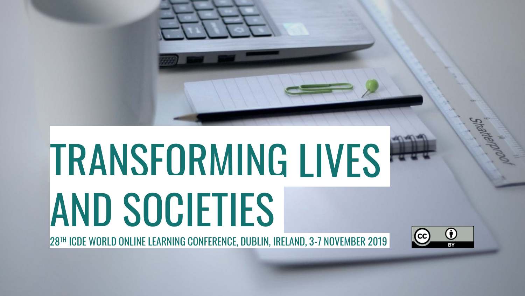# TRANSFORMING LIVES AND SOCIETIES

28TH ICDE WORLD ONLINE LEARNING CONFERENCE, DUBLIN, IRELAND, 3-7 NOVEMBER 2019

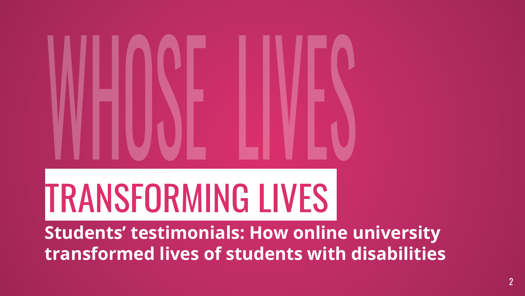# TRANSFORMING LIVES

**Students' testimonials: How online university transformed lives of students with disabilities**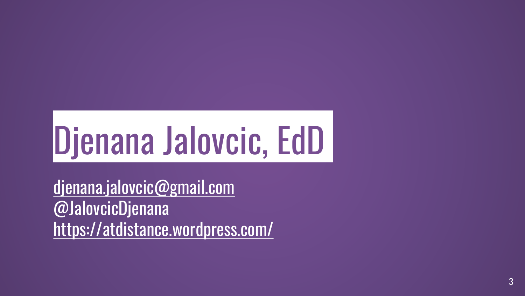# Djenana Jalovcic, EdD

[djenana.jalovcic@gmail.com](mailto:djenana.Jalovcic@gmail.com) @JalovcicDjenana <https://atdistance.wordpress.com/>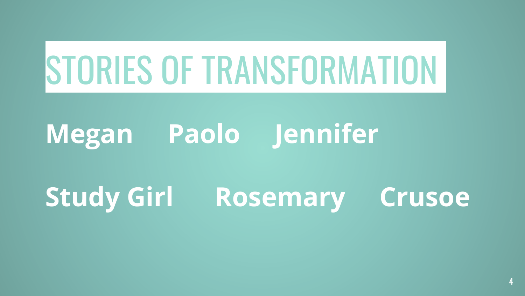# STORIES OF TRANSFORMATION

#### **Megan Paolo Jennifer**

#### **Study Girl Rosemary Crusoe**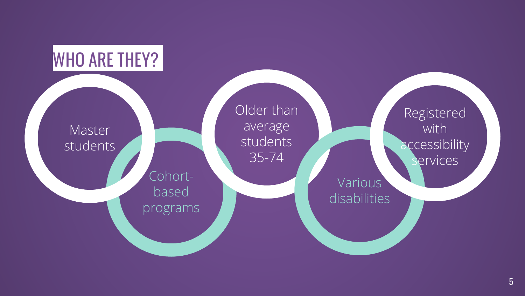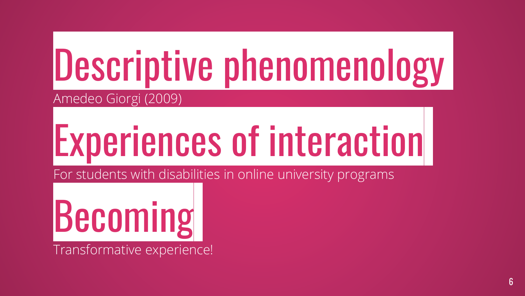#### Descriptive phenomenology Amedeo Giorgi (2009)

# Experiences of interaction

For students with disabilities in online university programs

Becoming Transformative experience!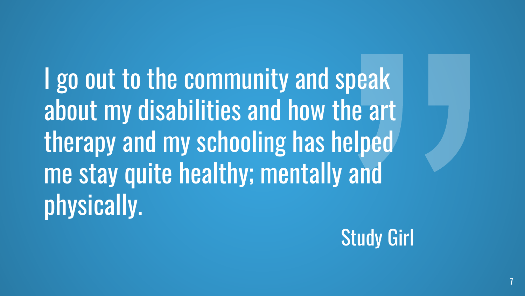I go out to the community and speak about my disabilities and how the art therapy and my schooling has helped me stay quite healthy; mentally and physically.



7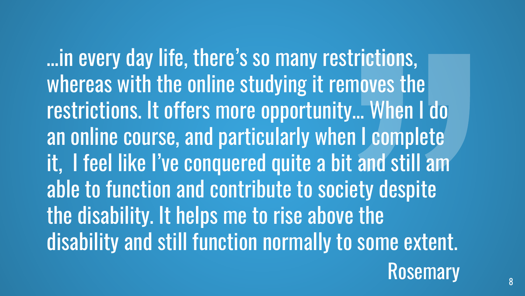…in every day life, there's so many restrictions, whereas with the online studying it removes the restrictions. It offers more opportunity… When I do an online course, and particularly when I complete it, I feel like I've conquered quite a bit and still am able to function and contribute to society despite the disability. It helps me to rise above the disability and still function normally to some extent.

Rosemary Rosemary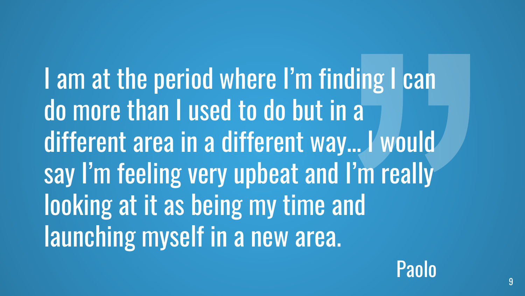I am at the period where I'm finding I can do more than I used to do but in a different area in a different way… I would say I'm feeling very upbeat and I'm really looking at it as being my time and launching myself in a new area.

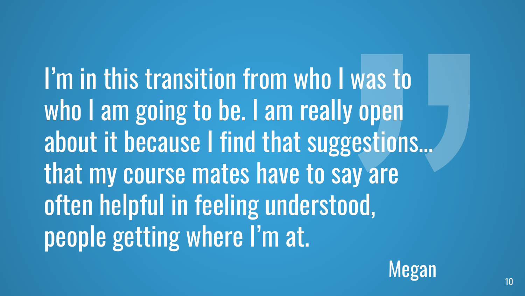I'm in this transition from who I was to who I am going to be. I am really open about it because I find that suggestions… that my course mates have to say are often helpful in feeling understood, people getting where I'm at.

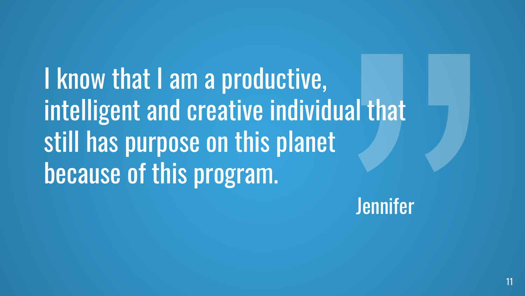I know that I am a productive, intelligent and creative individual that still has purpose on this planet because of this program.

**Jennifer**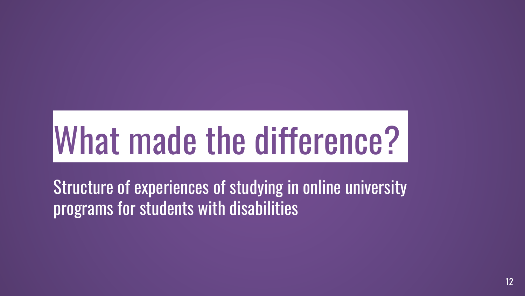# What made the difference?

Structure of experiences of studying in online university programs for students with disabilities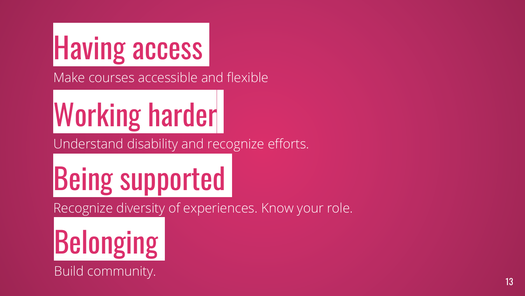### Having access

Make courses accessible and flexible

#### Working harder

Understand disability and recognize efforts.

### Being supported

Recognize diversity of experiences. Know your role.

## **Belonging**

Build community.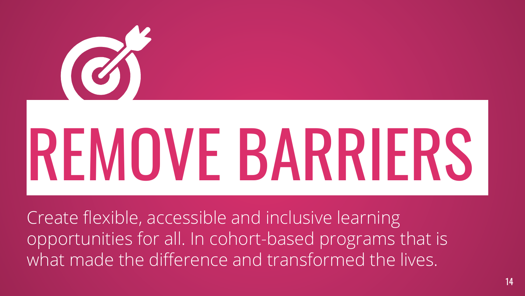# B REMOVE BARRIERS

Create flexible, accessible and inclusive learning opportunities for all. In cohort-based programs that is what made the difference and transformed the lives.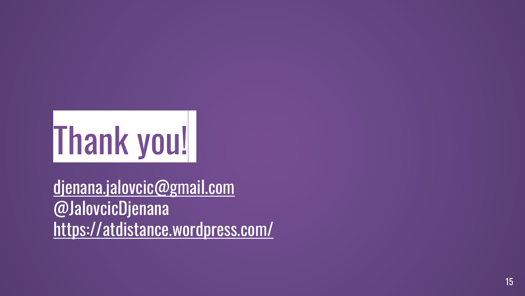

[djenana.jalovcic@gmail.com](mailto:djenana.Jalovcic@gmail.com) @JalovcicDjenana <https://atdistance.wordpress.com/>